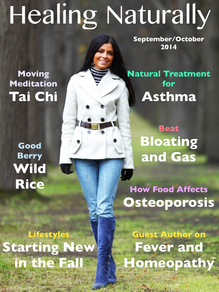# Healing Naturally

<u>ان</u><br>الا

**September/October 2014**

## **Moving Meditation Tai Chi**

**Good Berry Wild Rice**

**Lifestyles Starting New in the Fall**

**Natural Treatment for Asthma**

> **Beat Bloating and Gas**

**How Food Affects Osteoporosis**

**Guest Author on Fever and Homeopathy**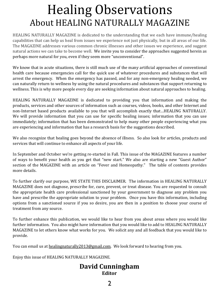## Healing Observations About HEALING NATURALLY MAGAZINE

HEALING NATURALLY MAGAZINE is dedicated to the understanding that we each have immune/healing capabilities that can help us heal from issues we experience not just physically, but in all areas of our life. The MAGAZINE addresses various common chronic illnesses and other issues we experience, and suggest natural actions we can take to become well. We invite you to consider the approaches suggested herein as perhaps more natural for you, even if they seem more "unconventional".

We know that in acute situations, there is still much use of the many artificial approaches of conventional health care because emergencies call for the quick use of whatever procedures and substances that will arrest the emergency. When the emergency has passed, and for any non-emergency healing needed, we can naturally return to wellness by using the natural procedures and substances that support returning to wellness. This is why more people every day are seeking information about natural approaches to healing.

HEALING NATURALLY MAGAZINE is dedicated to providing you that information and making the products, services and other sources of information such as courses, videos, books, and other Internet and non-Internet based products available to you that will accomplish exactly that...HEALING NATURALLY. We will provide information that you can use for specific healing issues; information that you can use immediately; information that has been demonstrated to help many other people experiencing what you are experiencing and information that has a research basis for the suggestions described.

We also recognize that healing goes beyond the absence of illness. So also look for articles, products and services that will continue to enhance all aspects of your life.

In September and October we're getting re-started in Fall. This issue of the MAGAZINE features a number of ways to benefit your health as you get that "new start." We also are starting a new "Guest Author" section of the MAGAZINE with an article on "Fever and Homeopathy." The table of contents provides more details.

To further clarify our purpose, WE STATE THIS DISCLAIMER. The information in HEALING NATURALLY MAGAZINE does not diagnose, prescribe for, cure, prevent, or treat disease. You are requested to consult the appropriate health care professional sanctioned by your government to diagnose any problem you have and prescribe the appropriate solution to your problem. Once you have this information, including options from a sanctioned source if you so desire, you are then in a position to choose your course of treatment from any source.

To further enhance this publication, we would like to hear from you about areas where you would like further information. You also might have information that you would like to add to HEALING NATURALLY MAGAZINE to let others know what works for you. We solicit any and all feedback that you would like to provide.

You can email us at healingnaturally2013@gmail.com. We look forward to hearing from you.

Enjoy this issue of HEALING NATURALLY MAGAZINE.

#### **David Cunningham Editor**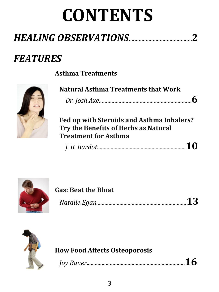## **CONTENTS**

## *FEATURES*

**Asthma Treatments**



| <b>Natural Asthma Treatments that Work</b> |  |
|--------------------------------------------|--|
|                                            |  |

**Fed up with Steroids and Asthma Inhalers?** Try the Benefits of Herbs as Natural **Treatment for Asthma** 

 *J. B. Bardot.................................................................***10**



| <b>Gas: Beat the Bloat</b> |
|----------------------------|
|----------------------------|

*Natalie Egan..................................................................***13**



#### **How Food Affects Osteoporosis**

*Joy Bauer........................................................................***16**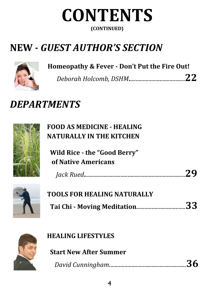

## **NEW** *- GUEST AUTHOR'S SECTION*



#### Homeopathy & Fever - Don't Put the Fire Out!

*Deborah Holcomb, DSHM***.**.......................................**22**

## *DEPARTMENTS*



**FOOD AS MEDICINE - HEALING NATURALLY IN THE KITCHEN** 

**Wild Rice - the "Good Berry" of Native Americans**

| $\sim$ $\sim$ $\sim$ |  |
|----------------------|--|
|----------------------|--|



| TOOLS FOR HEALING NATURALLY   |  |
|-------------------------------|--|
| Tai Chi - Moving Meditation33 |  |



| <b>HEALING LIFESTYLES</b> |
|---------------------------|
|---------------------------|

**Start New After Summer** 

 *David Cunningham*.......................................................**36**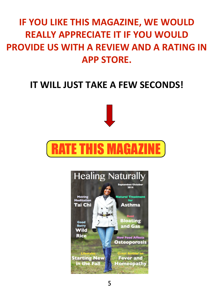## **IF YOU LIKE THIS MAGAZINE, WE WOULD REALLY APPRECIATE IT IF YOU WOULD PROVIDE US WITH A REVIEW AND A RATING IN APP STORE.**

### **IT WILL JUST TAKE A FEW SECONDS!**





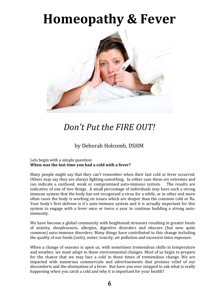## **Homeopathy & Fever**



#### Don't Put the FIRE OUT!

#### by Deborah Holcomb, DSHM

#### Lets begin with a simple question: When was the last time you had a cold with a fever?

Many people might say that they can't remember when their last cold or fever occurred. Others may say they are always fighting something. In either case these are extremes and can indicate a confused, weak or compromised auto-immune system. The results are indicative of one of two things. A small percentage of individuals may have such a strong immune system that the body has not recognized a virus for a while, or in other and more often cases the body is working on issues which are deeper than the common cold or flu. Your body's first defense is it's auto-immune system and it is actually important for this system to engage with a fever once or twice a year to continue building a strong autoimmunity.

We have become a global community with heightened stressors resulting in greater bouts of anxiety, sleeplessness, allergies, digestive disorders and obscure (but now quite common) auto-immune disorders. Many things have contributed to this change including the quality of our foods (soils), water, toxicity, air pollution and excessive latex exposure.

When a change of seasons is upon us, with sometimes tremendous shifts in temperature and weather, we must adapt to these environmental changes. Most of us begin to prepare for the chance that we may face a cold in these times of tremendous change. We are impacted with numerous commercials and advertisements that promise relief of our discomforts and the elimination of a fever. But have you ever stopped to ask what is really happening when you catch a cold and why it is important for your health?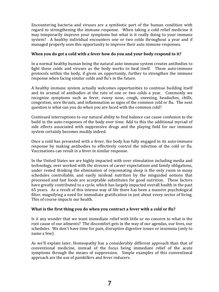Encountering bacteria and viruses are a symbiotic part of the human condition with regard to strengthening the immune response. When taking a cold relief medicine it may temporarily improve your symptoms but what is it really doing to your immune system? A healthy individual encounters one or two colds throughout a year and if managed properly uses this opportunity to improve their auto immune responses.

#### When you do get a cold with a fever how do you and your body respond to it?

In a normal healthy human being the natural auto-immune system creates antibodies to fight these colds and viruses as the body works to heal itself. These auto-immune protocols within the body, if given an opportunity, further to strengthen the immune response when facing similar colds and flu's in the future.

A healthy immune system actually welcomes opportunities to continue building itself and its arsenal of antibodies at the rate of one or two colds a year. Commonly we recognize symptoms such as fever, runny nose, cough, sneezing, headaches, chills, congestion, sore throats, and inflammation as signs of the common cold or flu. The next question is what can you do when you are faced with the common cold?

Continued interruptions to our natural ability to find balance can cause confusion to the build in the auto-responses of the body over time. Add to this the additional myriad of side effects associated with suppressive drugs and the playing field for our immune system certainly becomes muddy indeed.

Once a cold has presented with a fever, the body has fully engaged in its auto-immune response by making antibodies to effectively control the infection of the cold or flu. Vaccinations can result in a fever in similar response.

In the United States we are highly impacted with over stimulation including media and technology, over worked with the stresses of career expectations and family obligations, under rested thinking the elimination of rejuvenating sleep is the only room in many schedules controllable, and easily mislead nutrition by the misguided notions that processed and fast foods are acceptable substitutes for good nutrition. These factors have greatly contributed to a cycle, which has largely impacted overall health in the past 65 years. As a result of this intense way of life there has been a massive psychological filter, magnifying a need for immediate gratification in just about every sector of living. This of course impacts our health.

#### **What is the first thing you do when you contract a fever with a cold or flu?**

Is it any wonder that we want immediate relief with little or no concern to what is the root cause of our ailments? The discomfort gets in the way of our agendas, our lives, our schedules. We don't have time for pain, disruptive digestive issues or insomnia (only to name a few).

As we'll explain later, Homeopathy has a considerably different approach than that of conventional medicine, instead of the focus being immediate relief of the acute symptoms through the means of suppression. Simple examples of this conventional approach are the use of painkillers and fever reducers.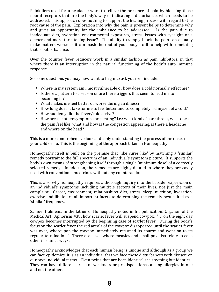Painkillers used for a headache work to relieve the presence of pain by blocking those neural receptors that are the body's way of indicating a disturbance, which needs to be addressed. This approach does nothing to support the healing process with regard to the root cause of the pain. Exploration into why the pain is present helps to determine why and gives an opportunity for the imbalance to be addressed. Is the pain due to inadequate diet, hydration, environmental exposures, stress, issues with eyesight, or a deeper and more threatening issue? The ability to simply block the pain can actually make matters worse as it can mask the root of your body's call to help with something that is out of balance.

Over the counter fever reducers work in a similar fashion as pain inhibitors, in that where there is an interruption in the natural functioning of the body's auto immune response. 

So some questions you may now want to begin to ask yourself include:

- Where in my system am I most vulnerable or how does a cold normally effect me?
- Is there a pattern to a season or are there triggers that seem to lead me to becoming ill?
- What makes me feel better or worse during an illness?
- How long does it take for me to feel better and to completely rid myself of a cold?
- How suddenly did the fever/cold arrive?
- How are the other symptoms presenting? i.e.: what kind of sore throat, what does the pain feel like, what and how is the congestion appearing, is there a headache and where on the head?

This is a more comprehensive look at deeply understanding the process of the onset of your cold or flu. This is the beginning of the approach taken in Homeopathy.

Homeopathy itself is built on the premise that 'like cures like' by matching a 'similar' remedy portrait to the full spectrum of an individual's symptom picture. It supports the body's own means of strengthening itself through a single 'minimum dose' of a correctly selected remedy. In addition, the remedies are highly diluted to where they are easily used with conventional medicines without any counteractions.

This is also why homeopathy requires a thorough inquiry into the broader expression of an individual's symptoms including multiple sectors of their lives, not just the main complaint. Career, environment, relationships, diet, stress, sleep, nutrition, hydration, exercise and libido are all important facets to determining the remedy best suited as a 'similar' frequency.

Samuel Hahnemann the father of Homeopathy noted in his publication; Organon of the Medical Art, Aphorism #38; how scarlet fever will suspend cowpox. "... on the eight day cowpox becomes interrupted by the beginning case of scarlet fever. During the body's focus on the scarlet fever the red areola of the cowpox disappeared until the scarlet fever was over, whereupon the cowpox immediately resumed its course and went on to its regular termination." There are cases where measles and small pox also relate to each other in similar ways.

Homeopathy acknowledges that each human being is unique and although as a group we can face epidemics, it is as an individual that we face these disturbances with disease on our own individual terms. Even twins that are born identical are anything but identical. They can have different areas of weakness or predispositions causing allergies in one and not the other.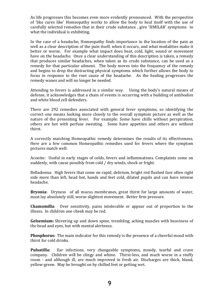As life progresses this becomes even more evidently pronounced. With the perspective of 'like cures like' Homeopathy works to allow the body to heal itself with the use of carefully selected remedies that in their crude substance, give 'SIMILAR' symptoms to what the individual is exhibiting.

In the case of a headache, Homeopathy finds importance in the location of the pain as well as a clear description of the pain itself, when it occurs, and what modalities make it better or worse. For example what impact does heat, cold, light, sound or movement have on the headache. Once a clear understanding of this description is taken, a remedy that produces similar headaches, when taken as its crude substance, can be used as a remedy for that particular ailment. The body moves into the frequency of the remedy and begins to drop the distracting physical symptoms which further allows the body to focus in response to the root cause of the headache. As the healing progresses the remedy wanes and will no longer be needed.

Attending to fevers is addressed in a similar way. Using the body's natural means of defense, it acknowledges that a chain of events is occurring with a building of antibodies and white blood cell defenders.

There are 292 remedies associated with general fever symptoms, so identifying the correct one means looking more closely to the overall symptom picture as well as the nature of the presenting fever. For example: Some have chills without perspiration, others are hot with perfuse sweating. Some have appetites and others are without thirst. 

A correctly matching Homeopathic remedy determines the results of its effectiveness. Here are a few common Homeopathic remedies used for fevers where the symptom pictures match well:

Aconite: Useful in early stages of colds, fevers and inflammations. Complaints come on suddenly, with cause possibly from cold / dry winds, shock or fright.

Belladonna: High fevers that come on rapid, delirium, bright red flushed face often right side more than left, head hot, hands and feet cold, dilated pupils and can have intense headache.

**Bryonia:** Dryness of all mucus membranes, great thirst for large amounts of water, must lay absolutely still, worse slightest movement. Better firm pressure.

**Chamomilla**: Over sensitivity, pains intolerable or appear out of proportion to the illness. In children one cheek may be red.

**Gelsemium:** Shivering up and down spine, trembling, aching muscles with heaviness of the head and eyes, but with mental alertness.

**Phosphorus:** The main indicator for this remedy is the presence of a cheerful mood with thirst for cold drinks.

**Pulsatilla:** Ear infections, very changeable symptoms, moody, tearful and crave company. Children will be clingy and whine. Thirst-less, and much worse in a stuffy room - and although ill, are much improved in fresh air. Discharges are thick, bland, yellow-green. May be brought on by chilled feet or getting wet.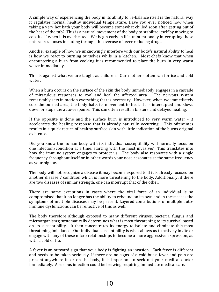A simple way of experiencing the body in its ability to re-balance itself is the natural way it regulates normal healthy individual temperature. Have you ever noticed how when taking a very hot bath your body will become somewhat chilled soon after getting out of the heat of the tub? This is a natural movement of the body to stabilize itself by moving to cool itself when it is overheated. We begin early in life unintentionally interrupting these natural responses including through the overuse of fever reducing drugs.

Another example of how we unknowingly interfere with our body's natural ability to heal is how we react to burning ourselves while in a kitchen. Most chefs know that when encountering a burn from cooking it is recommended to place the burn in very warm water immediately.

This is against what we are taught as children. Our mother's often ran for ice and cold water. 

When a burn occurs on the surface of the skin the body immediately engages in a cascade of miraculous responses to cool and heal the affected area. The nervous system remarkably sets in motion everything that is necessary. However, when we immediately cool the burned area, the body halts its movement to heal. It is interrupted and slows down or stops the auto-response. This can often result in blisters and delayed healing.

If the opposite is done and the surface burn is introduced to very warm water  $-$  it accelerates the healing response that is already naturally occurring. This oftentimes results in a quick return of healthy surface skin with little indication of the burns original existence.

Did you know the human body with its individual susceptibility will normally focus on one infection/condition at a time, starting with the most invasive? This translates into how the immune system engages to protect us. The body also resonates with a single frequency throughout itself or in other words your nose resonates at the same frequency as your big toe.

The body will not recognize a disease it may become exposed to if it is already focused on another disease / condition which is more threatening to the body. Additionally, if there are two diseases of similar strength, one can interrupt that of the other.

There are some exceptions in cases where the vital force of an individual is so compromised that it no longer has the ability to rebound on its own and in these cases the symptoms of multiple diseases may be present. Layered contributions of multiple autoimmune dysfunctions can be reflective of this as well.

The body therefore although exposed to many different viruses, bacteria, fungus and microorganisms; systematically determines what is most threatening to its survival based on its susceptibility. It then concentrates its energy to isolate and eliminate this most threatening imbalance. Our individual susceptibility is what allows us to actively invite or engage with any of these micro relationships to become a more aggressive expression, as with a cold or flu.

A fever is an outward sign that your body is fighting an invasion. Each fever is different and needs to be taken seriously. If there are no signs of a cold but a fever and pain are present anywhere in or on the body, it is important to seek out your medical doctor immediately. A serious infection could be brewing requiring immediate medical care.